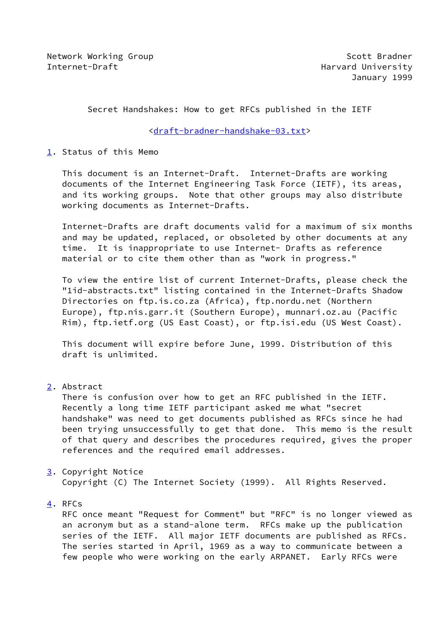Secret Handshakes: How to get RFCs published in the IETF

[<draft-bradner-handshake-03.txt](https://datatracker.ietf.org/doc/pdf/draft-bradner-handshake-03.txt)>

<span id="page-0-0"></span>[1](#page-0-0). Status of this Memo

 This document is an Internet-Draft. Internet-Drafts are working documents of the Internet Engineering Task Force (IETF), its areas, and its working groups. Note that other groups may also distribute working documents as Internet-Drafts.

 Internet-Drafts are draft documents valid for a maximum of six months and may be updated, replaced, or obsoleted by other documents at any time. It is inappropriate to use Internet- Drafts as reference material or to cite them other than as "work in progress."

 To view the entire list of current Internet-Drafts, please check the "1id-abstracts.txt" listing contained in the Internet-Drafts Shadow Directories on ftp.is.co.za (Africa), ftp.nordu.net (Northern Europe), ftp.nis.garr.it (Southern Europe), munnari.oz.au (Pacific Rim), ftp.ietf.org (US East Coast), or ftp.isi.edu (US West Coast).

 This document will expire before June, 1999. Distribution of this draft is unlimited.

<span id="page-0-1"></span>[2](#page-0-1). Abstract

 There is confusion over how to get an RFC published in the IETF. Recently a long time IETF participant asked me what "secret handshake" was need to get documents published as RFCs since he had been trying unsuccessfully to get that done. This memo is the result of that query and describes the procedures required, gives the proper references and the required email addresses.

<span id="page-0-2"></span>[3](#page-0-2). Copyright Notice

Copyright (C) The Internet Society (1999). All Rights Reserved.

<span id="page-0-3"></span>[4](#page-0-3). RFCs

 RFC once meant "Request for Comment" but "RFC" is no longer viewed as an acronym but as a stand-alone term. RFCs make up the publication series of the IETF. All major IETF documents are published as RFCs. The series started in April, 1969 as a way to communicate between a few people who were working on the early ARPANET. Early RFCs were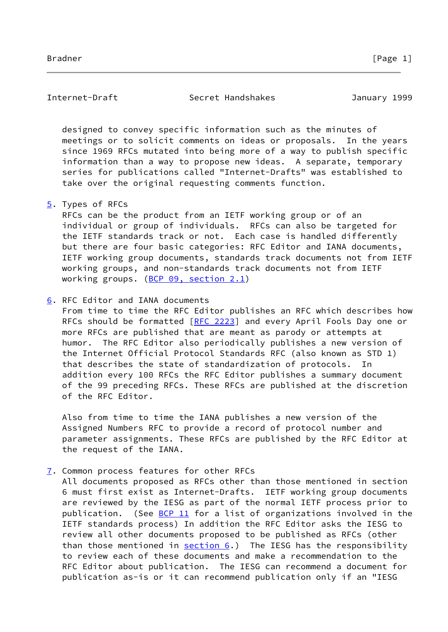Internet-Draft Secret Handshakes January 1999

 designed to convey specific information such as the minutes of meetings or to solicit comments on ideas or proposals. In the years since 1969 RFCs mutated into being more of a way to publish specific information than a way to propose new ideas. A separate, temporary series for publications called "Internet-Drafts" was established to take over the original requesting comments function.

## <span id="page-1-0"></span>[5](#page-1-0). Types of RFCs

 RFCs can be the product from an IETF working group or of an individual or group of individuals. RFCs can also be targeted for the IETF standards track or not. Each case is handled differently but there are four basic categories: RFC Editor and IANA documents, IETF working group documents, standards track documents not from IETF working groups, and non-standards track documents not from IETF working groups. [\(BCP 09, section](https://datatracker.ietf.org/doc/pdf/bcp09#section-2.1) 2.1)

# <span id="page-1-1"></span>[6](#page-1-1). RFC Editor and IANA documents

 From time to time the RFC Editor publishes an RFC which describes how RFCs should be formatted [\[RFC 2223](https://datatracker.ietf.org/doc/pdf/rfc2223)] and every April Fools Day one or more RFCs are published that are meant as parody or attempts at humor. The RFC Editor also periodically publishes a new version of the Internet Official Protocol Standards RFC (also known as STD 1) that describes the state of standardization of protocols. In addition every 100 RFCs the RFC Editor publishes a summary document of the 99 preceding RFCs. These RFCs are published at the discretion of the RFC Editor.

 Also from time to time the IANA publishes a new version of the Assigned Numbers RFC to provide a record of protocol number and parameter assignments. These RFCs are published by the RFC Editor at the request of the IANA.

# <span id="page-1-2"></span>[7](#page-1-2). Common process features for other RFCs

 All documents proposed as RFCs other than those mentioned in section 6 must first exist as Internet-Drafts. IETF working group documents are reviewed by the IESG as part of the normal IETF process prior to publication. (See [BCP 11](https://datatracker.ietf.org/doc/pdf/bcp11) for a list of organizations involved in the IETF standards process) In addition the RFC Editor asks the IESG to review all other documents proposed to be published as RFCs (other than those mentioned in  $section 6$ .) The IESG has the responsibility to review each of these documents and make a recommendation to the RFC Editor about publication. The IESG can recommend a document for publication as-is or it can recommend publication only if an "IESG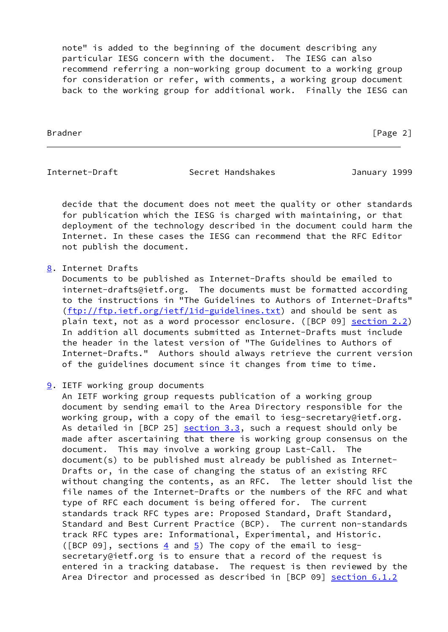note" is added to the beginning of the document describing any particular IESG concern with the document. The IESG can also recommend referring a non-working group document to a working group for consideration or refer, with comments, a working group document back to the working group for additional work. Finally the IESG can

Bradner [Page 2]

Internet-Draft Secret Handshakes January 1999

 decide that the document does not meet the quality or other standards for publication which the IESG is charged with maintaining, or that deployment of the technology described in the document could harm the Internet. In these cases the IESG can recommend that the RFC Editor not publish the document.

# <span id="page-2-0"></span>[8](#page-2-0). Internet Drafts

 Documents to be published as Internet-Drafts should be emailed to internet-drafts@ietf.org. The documents must be formatted according to the instructions in "The Guidelines to Authors of Internet-Drafts" [\(ftp://ftp.ietf.org/ietf/1id-guidelines.txt\)](ftp://ftp.ietf.org/ietf/1id-guidelines.txt) and should be sent as plain text, not as a word processor enclosure. ([BCP 09] section 2.2) In addition all documents submitted as Internet-Drafts must include the header in the latest version of "The Guidelines to Authors of Internet-Drafts." Authors should always retrieve the current version of the guidelines document since it changes from time to time.

# <span id="page-2-1"></span>[9](#page-2-1). IETF working group documents

 An IETF working group requests publication of a working group document by sending email to the Area Directory responsible for the working group, with a copy of the email to iesg-secretary@ietf.org. As detailed in  $[BCP 25]$  section  $3.3$ , such a request should only be made after ascertaining that there is working group consensus on the document. This may involve a working group Last-Call. The document(s) to be published must already be published as Internet- Drafts or, in the case of changing the status of an existing RFC without changing the contents, as an RFC. The letter should list the file names of the Internet-Drafts or the numbers of the RFC and what type of RFC each document is being offered for. The current standards track RFC types are: Proposed Standard, Draft Standard, Standard and Best Current Practice (BCP). The current non-standards track RFC types are: Informational, Experimental, and Historic. ([BCP 09], sections  $4$  and  $5$ ) The copy of the email to iesg secretary@ietf.org is to ensure that a record of the request is entered in a tracking database. The request is then reviewed by the Area Director and processed as described in [BCP 09] section 6.1.2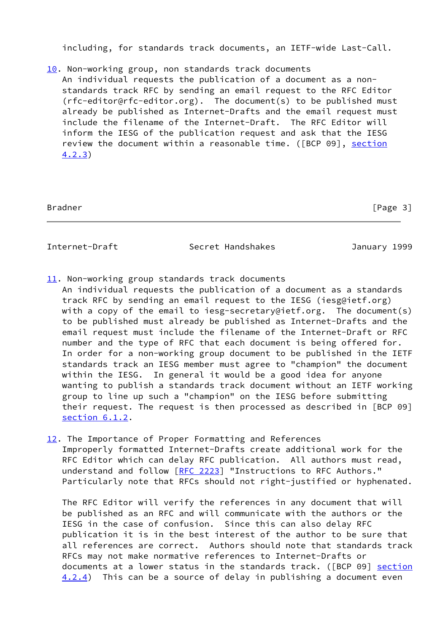including, for standards track documents, an IETF-wide Last-Call.

<span id="page-3-0"></span>[10.](#page-3-0) Non-working group, non standards track documents An individual requests the publication of a document as a non standards track RFC by sending an email request to the RFC Editor (rfc-editor@rfc-editor.org). The document(s) to be published must already be published as Internet-Drafts and the email request must include the filename of the Internet-Draft. The RFC Editor will inform the IESG of the publication request and ask that the IESG review the document within a reasonable time. ([BCP 09], section 4.2.3)

| Bradner | [Page 3] |
|---------|----------|
|         |          |

Internet-Draft Secret Handshakes January 1999

- <span id="page-3-1"></span>[11.](#page-3-1) Non-working group standards track documents
- An individual requests the publication of a document as a standards track RFC by sending an email request to the IESG (iesg@ietf.org) with a copy of the email to iesg-secretary@ietf.org. The document(s) to be published must already be published as Internet-Drafts and the email request must include the filename of the Internet-Draft or RFC number and the type of RFC that each document is being offered for. In order for a non-working group document to be published in the IETF standards track an IESG member must agree to "champion" the document within the IESG. In general it would be a good idea for anyone wanting to publish a standards track document without an IETF working group to line up such a "champion" on the IESG before submitting their request. The request is then processed as described in [BCP 09] section 6.1.2.
- <span id="page-3-2"></span>[12.](#page-3-2) The Importance of Proper Formatting and References Improperly formatted Internet-Drafts create additional work for the RFC Editor which can delay RFC publication. All authors must read, understand and follow [[RFC 2223\]](https://datatracker.ietf.org/doc/pdf/rfc2223) "Instructions to RFC Authors." Particularly note that RFCs should not right-justified or hyphenated.

 The RFC Editor will verify the references in any document that will be published as an RFC and will communicate with the authors or the IESG in the case of confusion. Since this can also delay RFC publication it is in the best interest of the author to be sure that all references are correct. Authors should note that standards track RFCs may not make normative references to Internet-Drafts or documents at a lower status in the standards track. ([BCP 09] section 4.2.4) This can be a source of delay in publishing a document even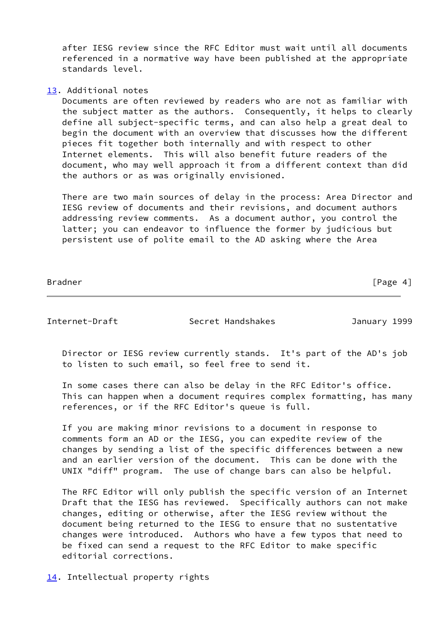after IESG review since the RFC Editor must wait until all documents referenced in a normative way have been published at the appropriate standards level.

## <span id="page-4-0"></span>[13.](#page-4-0) Additional notes

 Documents are often reviewed by readers who are not as familiar with the subject matter as the authors. Consequently, it helps to clearly define all subject-specific terms, and can also help a great deal to begin the document with an overview that discusses how the different pieces fit together both internally and with respect to other Internet elements. This will also benefit future readers of the document, who may well approach it from a different context than did the authors or as was originally envisioned.

 There are two main sources of delay in the process: Area Director and IESG review of documents and their revisions, and document authors addressing review comments. As a document author, you control the latter; you can endeavor to influence the former by judicious but persistent use of polite email to the AD asking where the Area

 $[Page 4]$ 

Internet-Draft Secret Handshakes January 1999

 Director or IESG review currently stands. It's part of the AD's job to listen to such email, so feel free to send it.

 In some cases there can also be delay in the RFC Editor's office. This can happen when a document requires complex formatting, has many references, or if the RFC Editor's queue is full.

 If you are making minor revisions to a document in response to comments form an AD or the IESG, you can expedite review of the changes by sending a list of the specific differences between a new and an earlier version of the document. This can be done with the UNIX "diff" program. The use of change bars can also be helpful.

 The RFC Editor will only publish the specific version of an Internet Draft that the IESG has reviewed. Specifically authors can not make changes, editing or otherwise, after the IESG review without the document being returned to the IESG to ensure that no sustentative changes were introduced. Authors who have a few typos that need to be fixed can send a request to the RFC Editor to make specific editorial corrections.

<span id="page-4-1"></span>[14.](#page-4-1) Intellectual property rights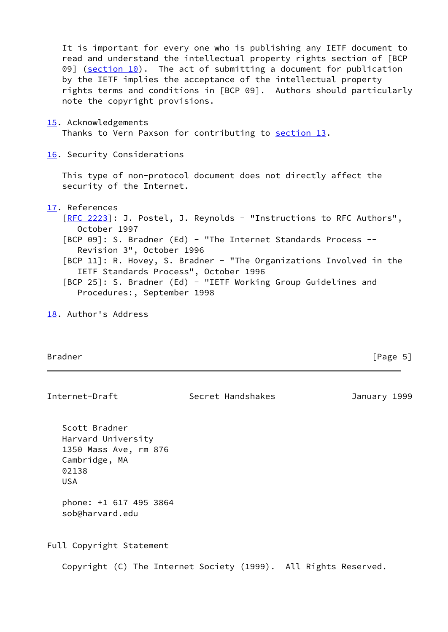It is important for every one who is publishing any IETF document to read and understand the intellectual property rights section of [BCP 09]  $(\underline{\text{section 10}})$ . The act of submitting a document for publication by the IETF implies the acceptance of the intellectual property rights terms and conditions in [BCP 09]. Authors should particularly note the copyright provisions.

#### <span id="page-5-0"></span>[15.](#page-5-0) Acknowledgements

Thanks to Vern Paxson for contributing to [section 13.](#page-4-0)

### <span id="page-5-1"></span>[16.](#page-5-1) Security Considerations

 This type of non-protocol document does not directly affect the security of the Internet.

## <span id="page-5-2"></span>[17.](#page-5-2) References

[\[RFC 2223](https://datatracker.ietf.org/doc/pdf/rfc2223)]: J. Postel, J. Reynolds - "Instructions to RFC Authors", October 1997 [BCP 09]: S. Bradner (Ed) - "The Internet Standards Process -- Revision 3", October 1996 [BCP 11]: R. Hovey, S. Bradner - "The Organizations Involved in the IETF Standards Process", October 1996 [BCP 25]: S. Bradner (Ed) - "IETF Working Group Guidelines and Procedures:, September 1998

<span id="page-5-3"></span>[18.](#page-5-3) Author's Address

Bradner [Page 5]

## Internet-Draft Secret Handshakes January 1999

 Scott Bradner Harvard University 1350 Mass Ave, rm 876 Cambridge, MA 02138 USA

 phone: +1 617 495 3864 sob@harvard.edu

Full Copyright Statement

Copyright (C) The Internet Society (1999). All Rights Reserved.